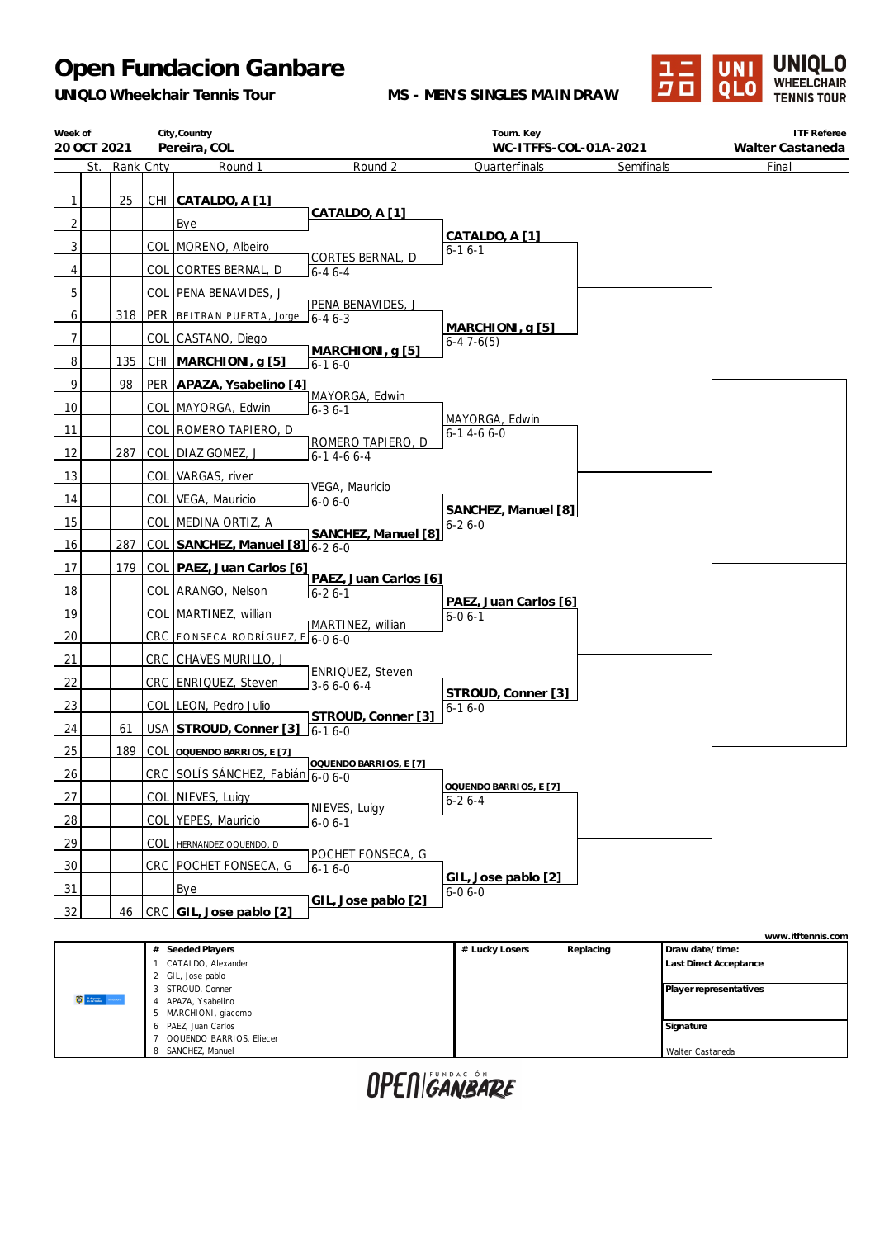*UNIQLO Wheelchair Tennis Tour*

**MS - MEN'S SINGLES MAINDRAW**



| Week of        | City, Country<br>20 OCT 2021<br>Pereira, COL |     |           | Tourn. Key<br>WC-ITFFS-COL-01A-2021 |                                       | <b>ITF Referee</b><br>Walter Castaneda |                             |                   |
|----------------|----------------------------------------------|-----|-----------|-------------------------------------|---------------------------------------|----------------------------------------|-----------------------------|-------------------|
|                | St.                                          |     | Rank Cnty | Round 1                             | Round 2                               | Quarterfinals                          | Semifinals                  | Final             |
| $\mathbf{1}$   |                                              | 25  |           | CHI CATALDO, A [1]                  |                                       |                                        |                             |                   |
| $\overline{2}$ |                                              |     |           | Bye                                 | CATALDO, A [1]                        |                                        |                             |                   |
| 3              |                                              |     |           | COL   MORENO, Albeiro               |                                       | CATALDO, A [1]                         |                             |                   |
| 4              |                                              |     |           | COL CORTES BERNAL, D                | CORTES BERNAL, D<br>$6 - 46 - 4$      | $6 - 16 - 1$                           |                             |                   |
| 5              |                                              |     |           | COL   PENA BENAVIDES, J             |                                       |                                        |                             |                   |
| 6              |                                              |     |           | 318   PER   BELTRAN PUERTA, Jorge   | PENA BENAVIDES, J<br>$6 - 46 - 3$     |                                        |                             |                   |
| $\overline{7}$ |                                              |     |           | COL CASTANO, Diego                  |                                       | MARCHIONI, g [5]<br>$6-47-6(5)$        |                             |                   |
| 8              |                                              | 135 |           | CHI MARCHIONI, q [5]                | MARCHIONI, g [5]<br>$6 - 16 - 0$      |                                        |                             |                   |
| 9              |                                              | 98  |           | PER APAZA, Ysabelino [4]            |                                       |                                        |                             |                   |
| 10             |                                              |     |           | COL MAYORGA, Edwin                  | MAYORGA, Edwin<br>$6 - 36 - 1$        |                                        |                             |                   |
| 11             |                                              |     |           | COL ROMERO TAPIERO, D               |                                       | MAYORGA, Edwin<br>$6 - 14 - 66 - 0$    |                             |                   |
| 12             |                                              | 287 |           | COL DIAZ GOMEZ, J                   | ROMERO TAPIERO, D<br>$6-14-66-4$      |                                        |                             |                   |
| 13             |                                              |     |           | COL VARGAS, river                   |                                       |                                        |                             |                   |
| 14             |                                              |     |           | COL VEGA, Mauricio                  | VEGA, Mauricio<br>$6 - 06 - 0$        |                                        |                             |                   |
| 15             |                                              |     |           | COL MEDINA ORTIZ, A                 |                                       | SANCHEZ, Manuel [8]<br>$6 - 26 - 0$    |                             |                   |
| 16             |                                              | 287 |           | COL SANCHEZ, Manuel [8] 6-2 6-0     | SANCHEZ, Manuel [8]                   |                                        |                             |                   |
| 17             |                                              | 179 |           | COL   PAEZ, Juan Carlos [6]         |                                       |                                        |                             |                   |
| 18             |                                              |     |           | COL ARANGO, Nelson                  | PAEZ, Juan Carlos [6]<br>$6 - 26 - 1$ |                                        |                             |                   |
| 19             |                                              |     |           | COL MARTINEZ, willian               |                                       | PAEZ, Juan Carlos [6]<br>$6 - 06 - 1$  |                             |                   |
| 20             |                                              |     |           | CRC FONSECA RODRÍGUEZ, E 6-0 6-0    | MARTINEZ, willian                     |                                        |                             |                   |
| 21             |                                              |     |           | CRC CHAVES MURILLO, J               |                                       |                                        |                             |                   |
| 22             |                                              |     |           | CRC ENRIQUEZ, Steven                | ENRIQUEZ, Steven<br>$3-66-06-4$       | STROUD, Conner [3]                     |                             |                   |
| 23             |                                              |     |           | COL LEON, Pedro Julio               | STROUD, Conner [3]                    | $6 - 16 - 0$                           |                             |                   |
| 24             |                                              | 61  |           | USA STROUD, Conner [3]              | $16-16-0$                             |                                        |                             |                   |
| 25             |                                              | 189 |           | COL OQUENDO BARRIOS, E [7]          | OQUENDO BARRIOS, E [7]                |                                        |                             |                   |
| 26             |                                              |     |           | CRC SOLÍS SÁNCHEZ, Fabián 6-0 6-0   |                                       | OQUENDO BARRIOS, E [7]                 |                             |                   |
| 27             |                                              |     |           | COL NIEVES, Luigy                   | NIEVES, Luigy                         | $6 - 26 - 4$                           |                             |                   |
| 28             |                                              |     |           | COL YEPES, Mauricio                 | $6 - 06 - 1$                          |                                        |                             |                   |
| 29             |                                              |     |           | COL HERNANDEZ OQUENDO, D            | POCHET FONSECA, G                     |                                        |                             |                   |
| 30             |                                              |     |           | CRC POCHET FONSECA, G               | $6 - 16 - 0$                          | GIL, Jose pablo [2]                    |                             |                   |
| 31             |                                              |     |           | Bye                                 | GIL, Jose pablo [2]                   | $6 - 06 - 0$                           |                             |                   |
| 32             |                                              | 46  |           | CRC GIL, Jose pablo [2]             |                                       |                                        |                             |                   |
|                |                                              |     |           | # Seeded Players                    |                                       | # Lucky Losers                         | Draw date/time<br>Replacing | www.itftennis.com |

|                      | Seeded Players<br>#      | # Lucky Losers | Replacing | Draw date/time:               |
|----------------------|--------------------------|----------------|-----------|-------------------------------|
|                      | CATALDO, Alexander       |                |           | <b>Last Direct Acceptance</b> |
| <b>C</b> stress when | 2 GIL, Jose pablo        |                |           |                               |
|                      | STROUD, Conner<br>3      |                |           | Player representatives        |
|                      | APAZA, Ysabelino         |                |           |                               |
|                      | MARCHIONI, giacomo<br>5  |                |           |                               |
|                      | PAEZ, Juan Carlos<br>6   |                |           | Signature                     |
|                      | OQUENDO BARRIOS, Eliecer |                |           |                               |
|                      | SANCHEZ, Manuel<br>8     |                |           | Walter Castaneda              |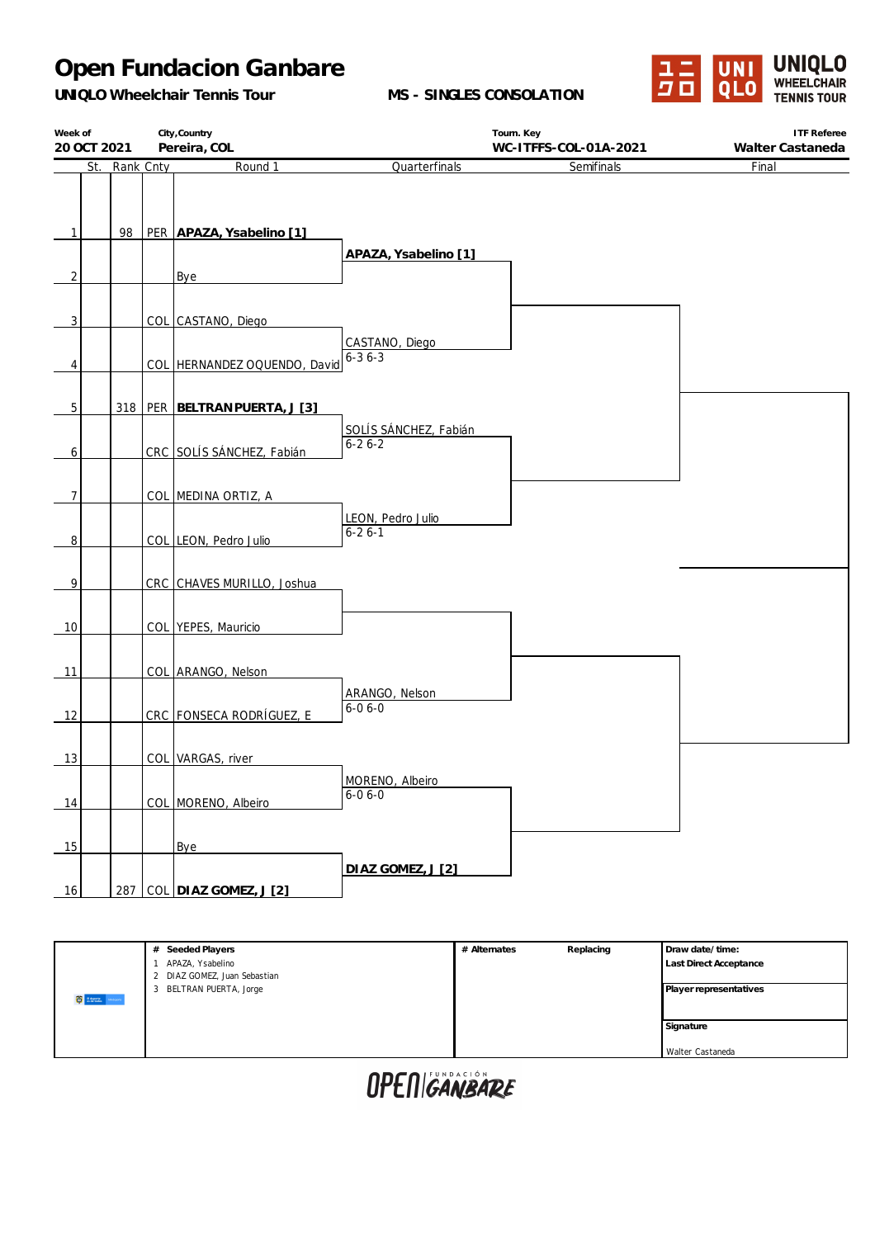*UNIQLO Wheelchair Tennis Tour*

**MS - SINGLES CONSOLATION**



| Week of        |           | City, Country                     |                                            | Tourn. Key            | <b>ITF Referee</b> |
|----------------|-----------|-----------------------------------|--------------------------------------------|-----------------------|--------------------|
| 20 OCT 2021    |           | Pereira, COL                      |                                            | WC-ITFFS-COL-01A-2021 | Walter Castaneda   |
| St.            | Rank Cnty | Round 1                           | Quarterfinals                              | Semifinals            | Final              |
|                |           |                                   |                                            |                       |                    |
|                |           |                                   |                                            |                       |                    |
| 1              | 98        | PER APAZA, Ysabelino [1]          |                                            |                       |                    |
|                |           |                                   | APAZA, Ysabelino [1]                       |                       |                    |
| $\overline{c}$ |           | Bye                               |                                            |                       |                    |
|                |           |                                   |                                            |                       |                    |
| 3              |           | COL CASTANO, Diego                |                                            |                       |                    |
|                |           |                                   | CASTANO, Diego<br>$6 - 3 \overline{6 - 3}$ |                       |                    |
| 4              |           | COL HERNANDEZ OQUENDO, David      |                                            |                       |                    |
|                |           |                                   |                                            |                       |                    |
| $\overline{5}$ |           | 318   PER   BELTRAN PUERTA, J [3] |                                            |                       |                    |
|                |           |                                   | SOLÍS SÁNCHEZ, Fabián                      |                       |                    |
| $\mathbf{6}$   |           | CRC SOLÍS SÁNCHEZ, Fabián         | $6 - 26 - 2$                               |                       |                    |
|                |           |                                   |                                            |                       |                    |
| $\overline{7}$ |           | COL MEDINA ORTIZ, A               |                                            |                       |                    |
|                |           |                                   | LEON, Pedro Julio                          |                       |                    |
| $\overline{8}$ |           | COL LEON, Pedro Julio             | $6 - 26 - 1$                               |                       |                    |
|                |           |                                   |                                            |                       |                    |
| 9              |           | CRC CHAVES MURILLO, Joshua        |                                            |                       |                    |
|                |           |                                   |                                            |                       |                    |
| 10             |           | COL YEPES, Mauricio               |                                            |                       |                    |
|                |           |                                   |                                            |                       |                    |
| 11             |           | COL ARANGO, Nelson                |                                            |                       |                    |
|                |           |                                   | ARANGO, Nelson                             |                       |                    |
| 12             |           | CRC FONSECA RODRÍGUEZ, E          | $6 - 06 - 0$                               |                       |                    |
|                |           |                                   |                                            |                       |                    |
| 13             |           | COL VARGAS, river                 |                                            |                       |                    |
|                |           |                                   | MORENO, Albeiro                            |                       |                    |
| 14             |           | COL MORENO, Albeiro               | $6 - 06 - 0$                               |                       |                    |
|                |           |                                   |                                            |                       |                    |
| 15             |           | Bye                               |                                            |                       |                    |
|                |           |                                   | DIAZ GOMEZ, J [2]                          |                       |                    |
| 16             |           | 287 COL DIAZ GOMEZ, J [2]         |                                            |                       |                    |
|                |           |                                   |                                            |                       |                    |

|                       | Seeded Players<br>#                            | # Alternates | Replacing | Draw date/time:               |
|-----------------------|------------------------------------------------|--------------|-----------|-------------------------------|
|                       | APAZA, Ysabelino<br>DIAZ GOMEZ, Juan Sebastian |              |           | <b>Last Direct Acceptance</b> |
| <b>C</b> strate where | BELTRAN PUERTA, Jorge<br>3                     |              |           | Player representatives        |
|                       |                                                |              |           | Signature                     |
|                       |                                                |              |           | Walter Castaneda              |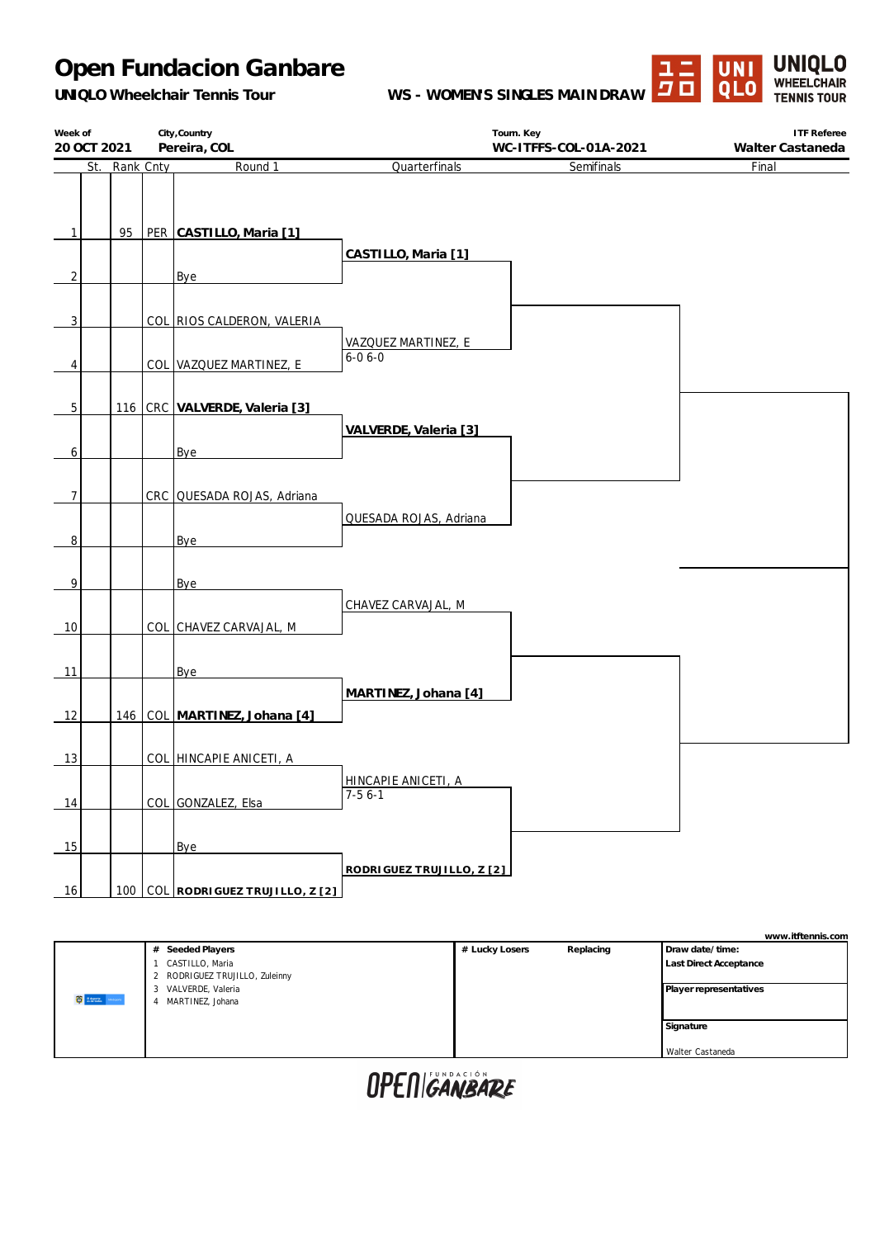*UNIQLO Wheelchair Tennis Tour*

**WS - WOMEN'S SINGLES MAINDRAW**



| Week of<br>20 OCT 2021 | City, Country<br>Tourn. Key<br>Pereira, COL<br>WC-ITFFS-COL-01A-2021 |  |                                                         | <b>ITF Referee</b>                  |            |                           |
|------------------------|----------------------------------------------------------------------|--|---------------------------------------------------------|-------------------------------------|------------|---------------------------|
| St.                    | Rank Cnty                                                            |  | Round 1                                                 | Quarterfinals                       | Semifinals | Walter Castaneda<br>Final |
| $\mathbf{1}$           |                                                                      |  | 95   PER CASTILLO, Maria [1]                            |                                     |            |                           |
| 2                      |                                                                      |  | Bye                                                     | CASTILLO, Maria [1]                 |            |                           |
| 3<br>4                 |                                                                      |  | COL RIOS CALDERON, VALERIA<br>COL VAZQUEZ MARTINEZ, E   | VAZQUEZ MARTINEZ, E<br>$6 - 06 - 0$ |            |                           |
| 5<br>6                 |                                                                      |  | 116 CRC VALVERDE, Valeria [3]<br>Bye                    | VALVERDE, Valeria [3]               |            |                           |
| 7<br>8                 |                                                                      |  | CRC QUESADA ROJAS, Adriana<br>Bye                       | QUESADA ROJAS, Adriana              |            |                           |
| 9<br>10                |                                                                      |  | Bye<br>COL CHAVEZ CARVAJAL, M                           | CHAVEZ CARVAJAL, M                  |            |                           |
| 11                     |                                                                      |  | Bye                                                     | MARTINEZ, Johana [4]                |            |                           |
| 12<br>13               |                                                                      |  | 146 COL MARTINEZ, Johana [4]<br>COL HINCAPIE ANICETI, A |                                     |            |                           |
| 14                     |                                                                      |  | COL GONZALEZ, Elsa                                      | HINCAPIE ANICETI, A<br>$7-56-1$     |            |                           |
| 15<br>16               |                                                                      |  | Bye<br>100 COL RODRIGUEZ TRUJILLO, Z [2]                | RODRIGUEZ TRUJILLO, Z [2]           |            |                           |
|                        |                                                                      |  |                                                         |                                     |            |                           |

|                        |                                                 |                |           | www.itftennis.com      |
|------------------------|-------------------------------------------------|----------------|-----------|------------------------|
|                        | Seeded Players<br>#                             | # Lucky Losers | Replacing | Draw date/time:        |
|                        | CASTILLO, Maria<br>RODRIGUEZ TRUJILLO, Zuleinny |                |           | Last Direct Acceptance |
|                        | VALVERDE, Valeria                               |                |           | Player representatives |
| <b>C</b> Street, where | MARTINEZ, Johana                                |                |           |                        |
|                        |                                                 |                |           | Signature              |
|                        |                                                 |                |           | Walter Castaneda       |
|                        |                                                 |                |           |                        |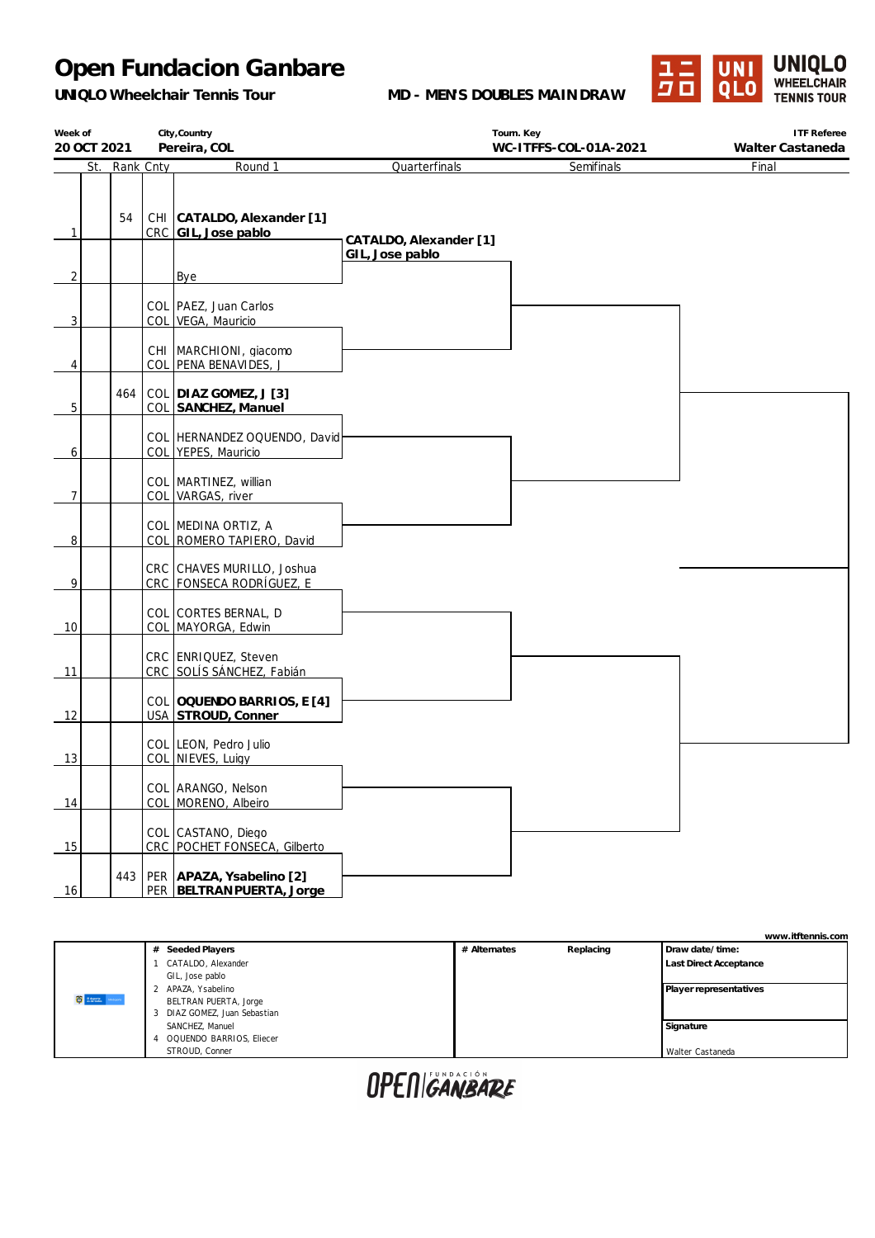*UNIQLO Wheelchair Tennis Tour*

**MD - MEN'S DOUBLES MAINDRAW**



| Week of        |             |           | City, Country                                               |                                           | Tourn. Key            | <b>ITF Referee</b> |
|----------------|-------------|-----------|-------------------------------------------------------------|-------------------------------------------|-----------------------|--------------------|
|                | 20 OCT 2021 |           | Pereira, COL                                                |                                           | WC-ITFFS-COL-01A-2021 | Walter Castaneda   |
|                | St.         | Rank Cnty | Round 1                                                     | Quarterfinals                             | Semifinals            | Final              |
| $\mathbf{1}$   | 54          |           | CHI CATALDO, Alexander [1]<br>CRC GIL, Jose pablo           | CATALDO, Alexander [1]<br>GIL, Jose pablo |                       |                    |
| $\overline{2}$ |             |           | Bye                                                         |                                           |                       |                    |
| 3              |             |           | COL PAEZ, Juan Carlos<br>COL VEGA, Mauricio                 |                                           |                       |                    |
| 4              |             |           | CHI   MARCHIONI, giacomo<br>COL PENA BENAVIDES, J           |                                           |                       |                    |
| 5              | 464         |           | COL DIAZ GOMEZ, J [3]<br>COL SANCHEZ, Manuel                |                                           |                       |                    |
| 6              |             |           | COL HERNANDEZ OQUENDO, David<br>COL YEPES, Mauricio         |                                           |                       |                    |
| $\overline{7}$ |             |           | COL   MARTINEZ, willian<br>COL VARGAS, river                |                                           |                       |                    |
| 8              |             |           | COL MEDINA ORTIZ, A<br>COL ROMERO TAPIERO, David            |                                           |                       |                    |
| 9              |             |           | CRC CHAVES MURILLO, Joshua<br>CRC FONSECA RODRÍGUEZ, E      |                                           |                       |                    |
| 10             |             |           | COL CORTES BERNAL, D<br>COL MAYORGA, Edwin                  |                                           |                       |                    |
| 11             |             |           | CRC ENRIQUEZ, Steven<br>CRC SOLÍS SÁNCHEZ, Fabián           |                                           |                       |                    |
| 12             |             |           | COL OQUENDO BARRIOS, E [4]<br>USA STROUD, Conner            |                                           |                       |                    |
| 13             |             |           | COL LEON, Pedro Julio<br>COL NIEVES, Luigy                  |                                           |                       |                    |
| 14             |             |           | COL ARANGO, Nelson<br>COL MORENO, Albeiro                   |                                           |                       |                    |
| 15             |             |           | COL CASTANO, Diego<br>CRC POCHET FONSECA, Gilberto          |                                           |                       |                    |
| 16             |             |           | 443   PER APAZA, Ysabelino [2]<br>PER BELTRAN PUERTA, Jorge |                                           |                       |                    |

|                      |                            |              |           | www.itftennis.com             |
|----------------------|----------------------------|--------------|-----------|-------------------------------|
|                      | # Seeded Players           | # Alternates | Replacing | Draw date/time:               |
|                      | CATALDO, Alexander         |              |           | <b>Last Direct Acceptance</b> |
|                      | GIL, Jose pablo            |              |           |                               |
|                      | 2 APAZA, Ysabelino         |              |           | Player representatives        |
| <b>C</b> stress when | BELTRAN PUERTA, Jorge      |              |           |                               |
|                      | DIAZ GOMEZ, Juan Sebastian |              |           |                               |
|                      | SANCHEZ, Manuel            |              |           | Signature                     |
|                      | 4 OQUENDO BARRIOS, Eliecer |              |           |                               |
|                      |                            |              |           | Walter Castaneda              |
|                      | STROUD, Conner             |              |           |                               |